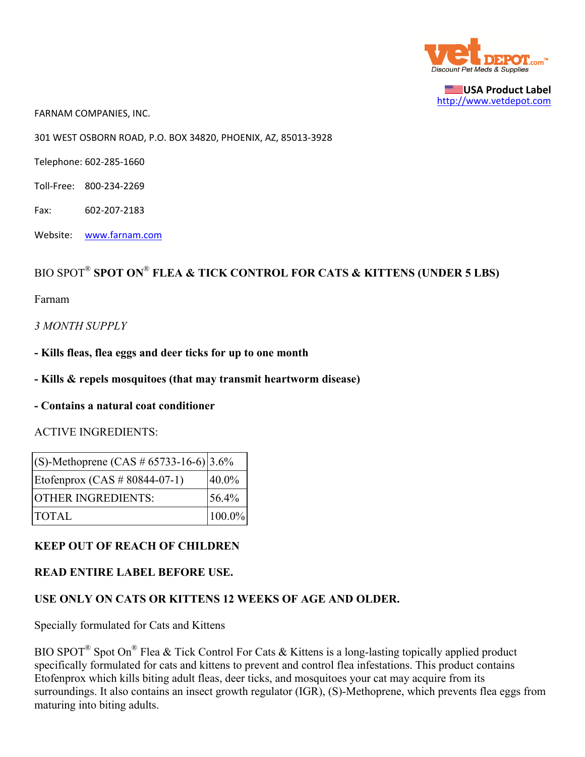

**USA Product Label** http://www.vetdepot.com

FARNAM COMPANIES, INC.

301 WEST OSBORN ROAD, P.O. BOX 34820, PHOENIX, AZ, 85013‐3928

Telephone: 602‐285‐1660

- Toll‐Free: 800‐234‐2269
- Fax: 602‐207‐2183
- Website: www.farnam.com

# BIO SPOT® **SPOT ON**® **FLEA & TICK CONTROL FOR CATS & KITTENS (UNDER 5 LBS)**

Farnam

*3 MONTH SUPPLY*

- **Kills fleas, flea eggs and deer ticks for up to one month**
- **Kills & repels mosquitoes (that may transmit heartworm disease)**
- **Contains a natural coat conditioner**

#### ACTIVE INGREDIENTS:

| $ (S)$ -Methoprene (CAS # 65733-16-6) 3.6% |             |
|--------------------------------------------|-------------|
| Etofenprox (CAS $\#$ 80844-07-1)           | $40.0\%$    |
| <b>OTHER INGREDIENTS:</b>                  | 56.4%       |
| <b>TOTAL</b>                               | $ 100.0\% $ |

#### **KEEP OUT OF REACH OF CHILDREN**

#### **READ ENTIRE LABEL BEFORE USE.**

### **USE ONLY ON CATS OR KITTENS 12 WEEKS OF AGE AND OLDER.**

Specially formulated for Cats and Kittens

BIO SPOT<sup>®</sup> Spot On<sup>®</sup> Flea & Tick Control For Cats & Kittens is a long-lasting topically applied product specifically formulated for cats and kittens to prevent and control flea infestations. This product contains Etofenprox which kills biting adult fleas, deer ticks, and mosquitoes your cat may acquire from its surroundings. It also contains an insect growth regulator (IGR), (S)-Methoprene, which prevents flea eggs from maturing into biting adults.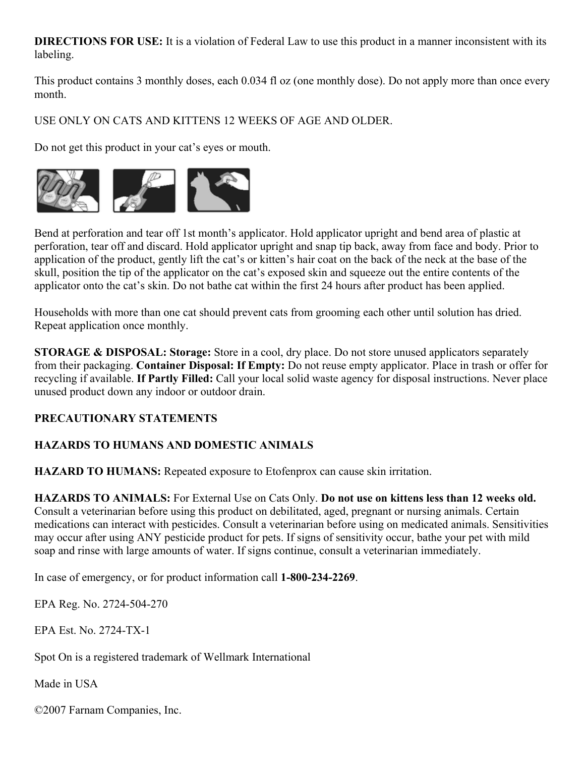**DIRECTIONS FOR USE:** It is a violation of Federal Law to use this product in a manner inconsistent with its labeling.

This product contains 3 monthly doses, each 0.034 fl oz (one monthly dose). Do not apply more than once every month.

USE ONLY ON CATS AND KITTENS 12 WEEKS OF AGE AND OLDER.

Do not get this product in your cat's eyes or mouth.



Bend at perforation and tear off 1st month's applicator. Hold applicator upright and bend area of plastic at perforation, tear off and discard. Hold applicator upright and snap tip back, away from face and body. Prior to application of the product, gently lift the cat's or kitten's hair coat on the back of the neck at the base of the skull, position the tip of the applicator on the cat's exposed skin and squeeze out the entire contents of the applicator onto the cat's skin. Do not bathe cat within the first 24 hours after product has been applied.

Households with more than one cat should prevent cats from grooming each other until solution has dried. Repeat application once monthly.

**STORAGE & DISPOSAL: Storage:** Store in a cool, dry place. Do not store unused applicators separately from their packaging. **Container Disposal: If Empty:** Do not reuse empty applicator. Place in trash or offer for recycling if available. **If Partly Filled:** Call your local solid waste agency for disposal instructions. Never place unused product down any indoor or outdoor drain.

## **PRECAUTIONARY STATEMENTS**

## **HAZARDS TO HUMANS AND DOMESTIC ANIMALS**

**HAZARD TO HUMANS:** Repeated exposure to Etofenprox can cause skin irritation.

**HAZARDS TO ANIMALS:** For External Use on Cats Only. **Do not use on kittens less than 12 weeks old.** Consult a veterinarian before using this product on debilitated, aged, pregnant or nursing animals. Certain medications can interact with pesticides. Consult a veterinarian before using on medicated animals. Sensitivities may occur after using ANY pesticide product for pets. If signs of sensitivity occur, bathe your pet with mild soap and rinse with large amounts of water. If signs continue, consult a veterinarian immediately.

In case of emergency, or for product information call **1-800-234-2269**.

EPA Reg. No. 2724-504-270

EPA Est. No. 2724-TX-1

Spot On is a registered trademark of Wellmark International

Made in USA

©2007 Farnam Companies, Inc.